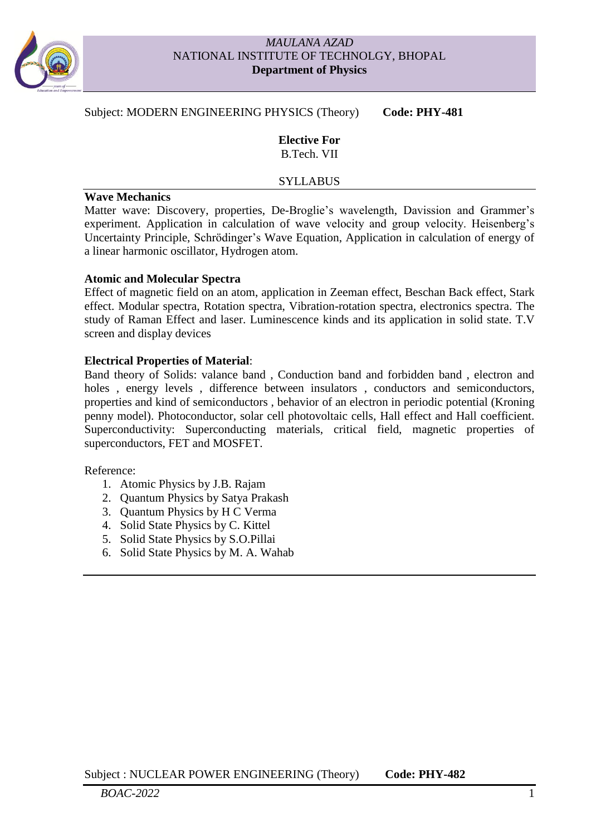

### *MAULANA AZAD* NATIONAL INSTITUTE OF TECHNOLGY, BHOPAL **Department of Physics**

## Subject: MODERN ENGINEERING PHYSICS (Theory) Code: PHY-481

**Elective For** B.Tech. VII

#### **SYLLABUS**

### **Wave Mechanics**

Matter wave: Discovery, properties, De-Broglie's wavelength, Davission and Grammer's experiment. Application in calculation of wave velocity and group velocity. Heisenberg's Uncertainty Principle, Schrödinger's Wave Equation, Application in calculation of energy of a linear harmonic oscillator, Hydrogen atom.

### **Atomic and Molecular Spectra**

Effect of magnetic field on an atom, application in Zeeman effect, Beschan Back effect, Stark effect. Modular spectra, Rotation spectra, Vibration-rotation spectra, electronics spectra. The study of Raman Effect and laser. Luminescence kinds and its application in solid state. T.V screen and display devices

### **Electrical Properties of Material**:

Band theory of Solids: valance band , Conduction band and forbidden band , electron and holes, energy levels, difference between insulators, conductors and semiconductors, properties and kind of semiconductors , behavior of an electron in periodic potential (Kroning penny model). Photoconductor, solar cell photovoltaic cells, Hall effect and Hall coefficient. Superconductivity: Superconducting materials, critical field, magnetic properties of superconductors, FET and MOSFET.

Reference:

- 1. Atomic Physics by J.B. Rajam
- 2. Quantum Physics by Satya Prakash
- 3. Quantum Physics by H C Verma
- 4. Solid State Physics by C. Kittel
- 5. Solid State Physics by S.O.Pillai
- 6. Solid State Physics by M. A. Wahab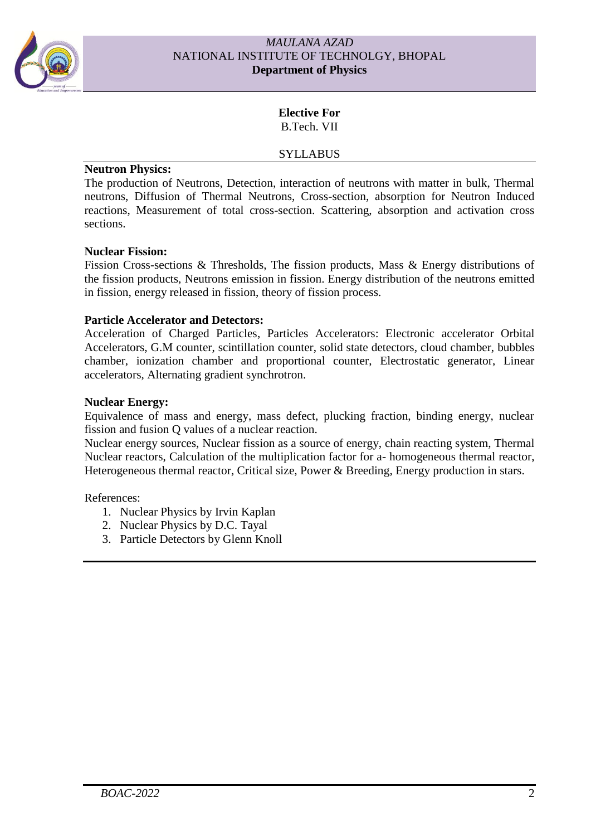

### *MAULANA AZAD* NATIONAL INSTITUTE OF TECHNOLGY, BHOPAL **Department of Physics**

# **Elective For** B.Tech. VII

# SYLLABUS

### **Neutron Physics:**

The production of Neutrons, Detection, interaction of neutrons with matter in bulk, Thermal neutrons, Diffusion of Thermal Neutrons, Cross-section, absorption for Neutron Induced reactions, Measurement of total cross-section. Scattering, absorption and activation cross sections.

## **Nuclear Fission:**

Fission Cross-sections & Thresholds, The fission products, Mass & Energy distributions of the fission products, Neutrons emission in fission. Energy distribution of the neutrons emitted in fission, energy released in fission, theory of fission process.

## **Particle Accelerator and Detectors:**

Acceleration of Charged Particles, Particles Accelerators: Electronic accelerator Orbital Accelerators, G.M counter, scintillation counter, solid state detectors, cloud chamber, bubbles chamber, ionization chamber and proportional counter, Electrostatic generator, Linear accelerators, Alternating gradient synchrotron.

## **Nuclear Energy:**

Equivalence of mass and energy, mass defect, plucking fraction, binding energy, nuclear fission and fusion Q values of a nuclear reaction.

Nuclear energy sources, Nuclear fission as a source of energy, chain reacting system, Thermal Nuclear reactors, Calculation of the multiplication factor for a- homogeneous thermal reactor, Heterogeneous thermal reactor, Critical size, Power & Breeding, Energy production in stars.

References:

- 1. Nuclear Physics by Irvin Kaplan
- 2. Nuclear Physics by D.C. Tayal
- 3. Particle Detectors by Glenn Knoll